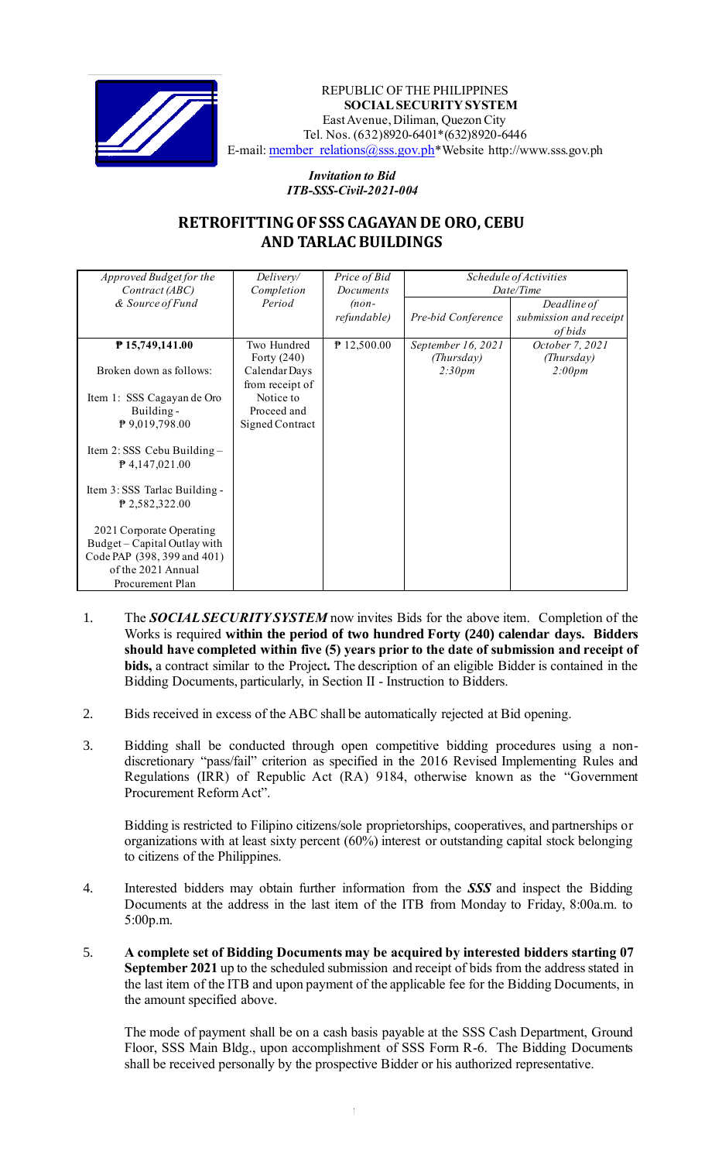

REPUBLIC OF THE PHILIPPINES **SOCIAL SECURITY SYSTEM** East Avenue, Diliman, Quezon City Tel. Nos. (632)8920-6401\*(632)8920-6446 E-mail: member\_relations@sss.gov.ph\*Website http://www.sss.gov.ph

> *Invitation to Bid ITB-SSS-Civil-2021-004*

## **RETROFITTING OF SSS CAGAYAN DE ORO, CEBU AND TARLAC BUILDINGS**

| Approved Budget for the<br>Contract (ABC)                | Delivery/<br>Completion                           | Price of Bid<br>Documents | <i>Schedule of Activities</i><br>Date/Time |                                   |
|----------------------------------------------------------|---------------------------------------------------|---------------------------|--------------------------------------------|-----------------------------------|
| & Source of Fund                                         | Period                                            | $(non-$                   |                                            | Deadline of                       |
|                                                          |                                                   | refundable)               | Pre-bid Conference                         | submission and receipt<br>of bids |
| ₱ 15,749,141.00                                          | Two Hundred                                       | $P$ 12,500.00             | September 16, 2021                         | October 7, 2021                   |
| Broken down as follows:                                  | Forty $(240)$<br>Calendar Days<br>from receipt of |                           | (Thursday)<br>2:30pm                       | (Thursday)<br>2:00pm              |
| Item 1: SSS Cagayan de Oro<br>Building -                 | Notice to<br>Proceed and                          |                           |                                            |                                   |
| $P$ 9,019,798.00                                         | Signed Contract                                   |                           |                                            |                                   |
| Item 2: SSS Cebu Building $-$<br>$\uparrow$ 4,147,021.00 |                                                   |                           |                                            |                                   |
| Item 3: SSS Tarlac Building -<br>$P$ 2,582,322.00        |                                                   |                           |                                            |                                   |
| 2021 Corporate Operating                                 |                                                   |                           |                                            |                                   |
| Budget - Capital Outlay with                             |                                                   |                           |                                            |                                   |
| Code PAP (398, 399 and 401)                              |                                                   |                           |                                            |                                   |
| of the 2021 Annual                                       |                                                   |                           |                                            |                                   |
| Procurement Plan                                         |                                                   |                           |                                            |                                   |

- 1. The *SOCIAL SECURITY SYSTEM* now invites Bids for the above item. Completion of the Works is required **within the period of two hundred Forty (240) calendar days. Bidders should have completed within five (5) years prior to the date of submission and receipt of bids,** a contract similar to the Project**.** The description of an eligible Bidder is contained in the Bidding Documents, particularly, in Section II - Instruction to Bidders.
- 2. Bids received in excess of the ABC shall be automatically rejected at Bid opening.
- 3. Bidding shall be conducted through open competitive bidding procedures using a nondiscretionary "pass/fail" criterion as specified in the 2016 Revised Implementing Rules and Regulations (IRR) of Republic Act (RA) 9184, otherwise known as the "Government Procurement Reform Act".

Bidding is restricted to Filipino citizens/sole proprietorships, cooperatives, and partnerships or organizations with at least sixty percent (60%) interest or outstanding capital stock belonging to citizens of the Philippines.

- 4. Interested bidders may obtain further information from the *SSS* and inspect the Bidding Documents at the address in the last item of the ITB from Monday to Friday, 8:00a.m. to 5:00p.m.
- 5. **A complete set of Bidding Documents may be acquired by interested bidders starting 07 September 2021** up to the scheduled submission and receipt of bids from the address stated in the last item of the ITB and upon payment of the applicable fee for the Bidding Documents, in the amount specified above.

The mode of payment shall be on a cash basis payable at the SSS Cash Department, Ground Floor, SSS Main Bldg., upon accomplishment of SSS Form R-6. The Bidding Documents shall be received personally by the prospective Bidder or his authorized representative.